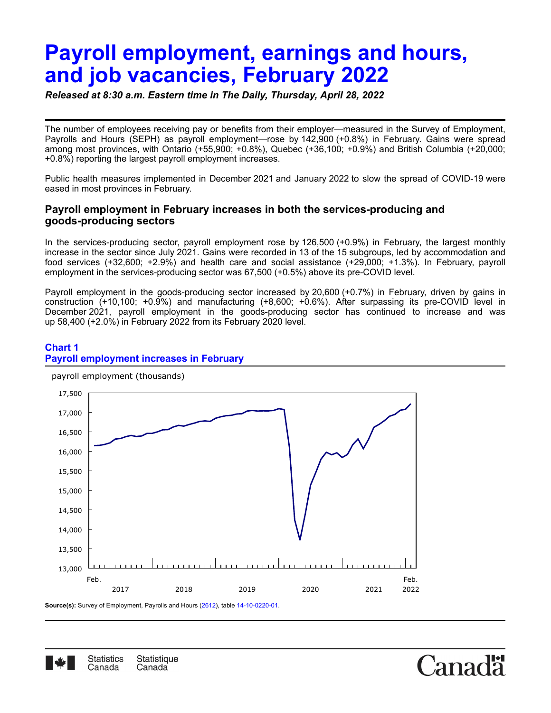# **Payroll employment, earnings and hours, and job vacancies, February 2022**

*Released at 8:30 a.m. Eastern time in The Daily, Thursday, April 28, 2022*

The number of employees receiving pay or benefits from their employer—measured in the Survey of Employment, Payrolls and Hours (SEPH) as payroll employment—rose by 142,900 (+0.8%) in February. Gains were spread among most provinces, with Ontario (+55,900; +0.8%), Quebec (+36,100; +0.9%) and British Columbia (+20,000; +0.8%) reporting the largest payroll employment increases.

Public health measures implemented in December 2021 and January 2022 to slow the spread of COVID-19 were eased in most provinces in February.

# **Payroll employment in February increases in both the services-producing and goods-producing sectors**

In the services-producing sector, payroll employment rose by 126,500 (+0.9%) in February, the largest monthly increase in the sector since July 2021. Gains were recorded in 13 of the 15 subgroups, led by accommodation and food services (+32,600; +2.9%) and health care and social assistance (+29,000; +1.3%). In February, payroll employment in the services-producing sector was 67,500 (+0.5%) above its pre-COVID level.

Payroll employment in the goods-producing sector increased by 20,600 (+0.7%) in February, driven by gains in construction (+10,100; +0.9%) and manufacturing (+8,600; +0.6%). After surpassing its pre-COVID level in December 2021, payroll employment in the goods-producing sector has continued to increase and was up 58,400 (+2.0%) in February 2022 from its February 2020 level.

# **Chart 1 Payroll employment increases in February**



payroll employment (thousands)

**Source(s):** Survey of Employment, Payrolls and Hours [\(2612\)](http://www23.statcan.gc.ca/imdb/p2SV.pl?Function=getSurvey&SDDS=2612), table [14-10-0220-01](https://www150.statcan.gc.ca/t1/tbl1/en/tv.action?pid=1410022001).



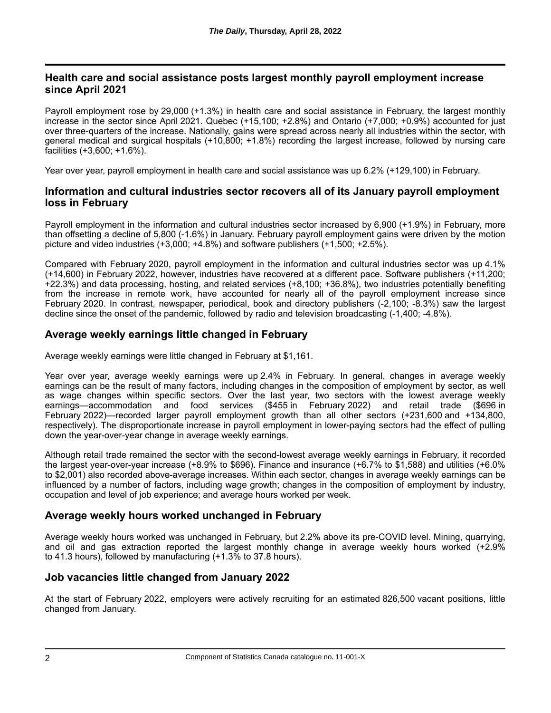# **Health care and social assistance posts largest monthly payroll employment increase since April 2021**

Payroll employment rose by 29,000 (+1.3%) in health care and social assistance in February, the largest monthly increase in the sector since April 2021. Quebec (+15,100; +2.8%) and Ontario (+7,000; +0.9%) accounted for just over three-quarters of the increase. Nationally, gains were spread across nearly all industries within the sector, with general medical and surgical hospitals (+10,800; +1.8%) recording the largest increase, followed by nursing care facilities (+3,600; +1.6%).

Year over year, payroll employment in health care and social assistance was up 6.2% (+129,100) in February.

# **Information and cultural industries sector recovers all of its January payroll employment loss in February**

Payroll employment in the information and cultural industries sector increased by 6,900 (+1.9%) in February, more than offsetting a decline of 5,800 (-1.6%) in January. February payroll employment gains were driven by the motion picture and video industries (+3,000; +4.8%) and software publishers (+1,500; +2.5%).

Compared with February 2020, payroll employment in the information and cultural industries sector was up 4.1% (+14,600) in February 2022, however, industries have recovered at a different pace. Software publishers (+11,200; +22.3%) and data processing, hosting, and related services (+8,100; +36.8%), two industries potentially benefiting from the increase in remote work, have accounted for nearly all of the payroll employment increase since February 2020. In contrast, newspaper, periodical, book and directory publishers (-2,100; -8.3%) saw the largest decline since the onset of the pandemic, followed by radio and television broadcasting (-1,400; -4.8%).

# **Average weekly earnings little changed in February**

Average weekly earnings were little changed in February at \$1,161.

Year over year, average weekly earnings were up 2.4% in February. In general, changes in average weekly earnings can be the result of many factors, including changes in the composition of employment by sector, as well as wage changes within specific sectors. Over the last year, two sectors with the lowest average weekly earnings—accommodation and food services (\$455 in February 2022) and retail trade (\$696 in February 2022)—recorded larger payroll employment growth than all other sectors (+231,600 and +134,800, respectively). The disproportionate increase in payroll employment in lower-paying sectors had the effect of pulling down the year-over-year change in average weekly earnings.

Although retail trade remained the sector with the second-lowest average weekly earnings in February, it recorded the largest year-over-year increase (+8.9% to \$696). Finance and insurance (+6.7% to \$1,588) and utilities (+6.0% to \$2,001) also recorded above-average increases. Within each sector, changes in average weekly earnings can be influenced by a number of factors, including wage growth; changes in the composition of employment by industry, occupation and level of job experience; and average hours worked per week.

# **Average weekly hours worked unchanged in February**

Average weekly hours worked was unchanged in February, but 2.2% above its pre-COVID level. Mining, quarrying, and oil and gas extraction reported the largest monthly change in average weekly hours worked (+2.9% to 41.3 hours), followed by manufacturing (+1.3% to 37.8 hours).

# **Job vacancies little changed from January 2022**

At the start of February 2022, employers were actively recruiting for an estimated 826,500 vacant positions, little changed from January.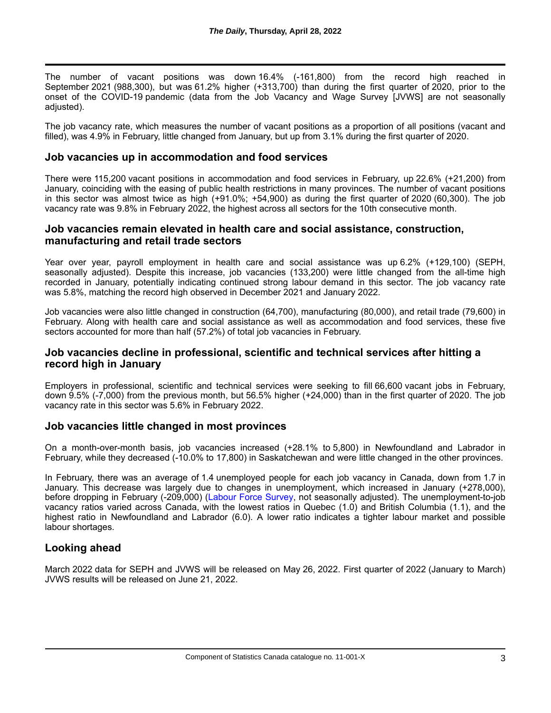The number of vacant positions was down 16.4% (-161,800) from the record high reached in September 2021 (988,300), but was 61.2% higher (+313,700) than during the first quarter of 2020, prior to the onset of the COVID-19 pandemic (data from the Job Vacancy and Wage Survey [JVWS] are not seasonally adjusted).

The job vacancy rate, which measures the number of vacant positions as a proportion of all positions (vacant and filled), was 4.9% in February, little changed from January, but up from 3.1% during the first quarter of 2020.

## **Job vacancies up in accommodation and food services**

There were 115,200 vacant positions in accommodation and food services in February, up 22.6% (+21,200) from January, coinciding with the easing of public health restrictions in many provinces. The number of vacant positions in this sector was almost twice as high (+91.0%; +54,900) as during the first quarter of 2020 (60,300). The job vacancy rate was 9.8% in February 2022, the highest across all sectors for the 10th consecutive month.

### **Job vacancies remain elevated in health care and social assistance, construction, manufacturing and retail trade sectors**

Year over year, payroll employment in health care and social assistance was up 6.2% (+129,100) (SEPH, seasonally adjusted). Despite this increase, job vacancies (133,200) were little changed from the all-time high recorded in January, potentially indicating continued strong labour demand in this sector. The job vacancy rate was 5.8%, matching the record high observed in December 2021 and January 2022.

Job vacancies were also little changed in construction (64,700), manufacturing (80,000), and retail trade (79,600) in February. Along with health care and social assistance as well as accommodation and food services, these five sectors accounted for more than half (57.2%) of total job vacancies in February.

## **Job vacancies decline in professional, scientific and technical services after hitting a record high in January**

Employers in professional, scientific and technical services were seeking to fill 66,600 vacant jobs in February, down 9.5% (-7,000) from the previous month, but 56.5% higher (+24,000) than in the first quarter of 2020. The job vacancy rate in this sector was 5.6% in February 2022.

## **Job vacancies little changed in most provinces**

On a month-over-month basis, job vacancies increased (+28.1% to 5,800) in Newfoundland and Labrador in February, while they decreased (-10.0% to 17,800) in Saskatchewan and were little changed in the other provinces.

In February, there was an average of 1.4 unemployed people for each job vacancy in Canada, down from 1.7 in January. This decrease was largely due to changes in unemployment, which increased in January (+278,000), before dropping in February (-209,000) [\(Labour Force Survey](https://www150.statcan.gc.ca/n1/daily-quotidien/220311/dq220311a-eng.htm), not seasonally adjusted). The unemployment-to-job vacancy ratios varied across Canada, with the lowest ratios in Quebec (1.0) and British Columbia (1.1), and the highest ratio in Newfoundland and Labrador (6.0). A lower ratio indicates a tighter labour market and possible labour shortages.

## **Looking ahead**

March 2022 data for SEPH and JVWS will be released on May 26, 2022. First quarter of 2022 (January to March) JVWS results will be released on June 21, 2022.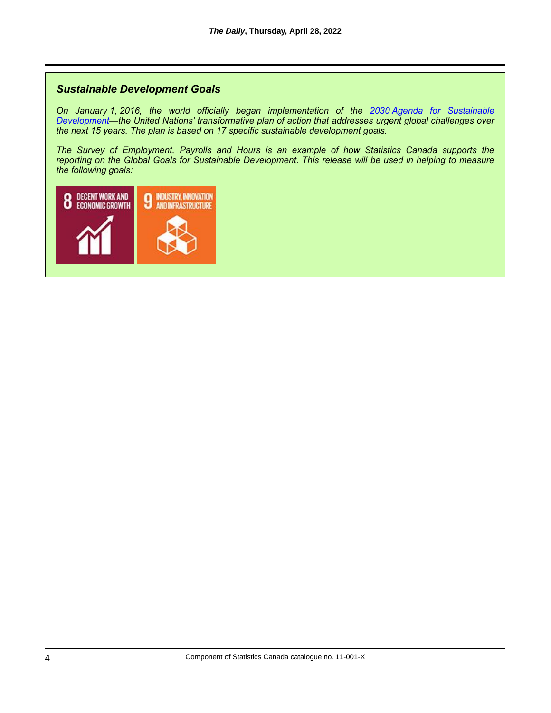# *Sustainable Development Goals*

*On January 1, 2016, the world officially began implementation of the 2030 Agenda for Sustainable [Development—the United Nations' transformative plan of action that addresses urgent global challenges over](https://www.un.org/sustainabledevelopment/development-agenda/) the next 15 years. The plan is based on 17 specific sustainable development goals.*

*The Survey of Employment, Payrolls and Hours is an example of how Statistics Canada supports the reporting on the Global Goals for Sustainable Development. This release will be used in helping to measure the following goals:*

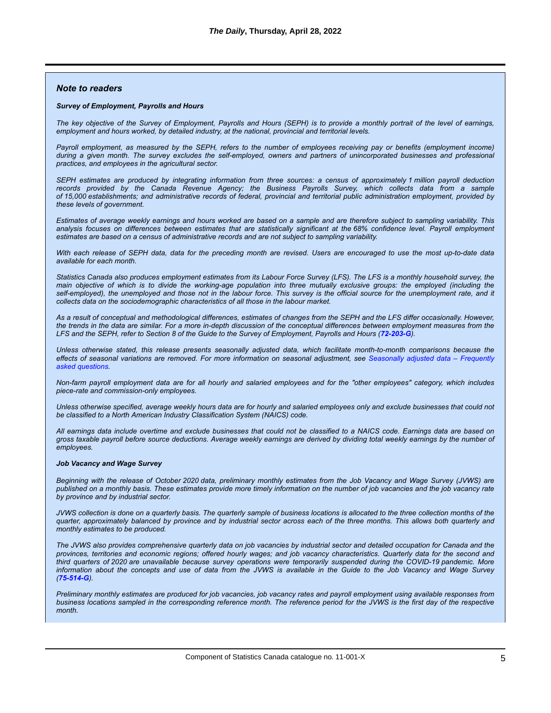#### *Note to readers*

#### *Survey of Employment, Payrolls and Hours*

*The key objective of the Survey of Employment, Payrolls and Hours (SEPH) is to provide a monthly portrait of the level of earnings, employment and hours worked, by detailed industry, at the national, provincial and territorial levels.*

*Payroll employment, as measured by the SEPH, refers to the number of employees receiving pay or benefits (employment income) during a given month. The survey excludes the self-employed, owners and partners of unincorporated businesses and professional practices, and employees in the agricultural sector.*

*SEPH estimates are produced by integrating information from three sources: a census of approximately 1 million payroll deduction records provided by the Canada Revenue Agency; the Business Payrolls Survey, which collects data from a sample of 15,000 establishments; and administrative records of federal, provincial and territorial public administration employment, provided by these levels of government.*

*Estimates of average weekly earnings and hours worked are based on a sample and are therefore subject to sampling variability. This analysis focuses on differences between estimates that are statistically significant at the 68% confidence level. Payroll employment estimates are based on a census of administrative records and are not subject to sampling variability.*

*With each release of SEPH data, data for the preceding month are revised. Users are encouraged to use the most up-to-date data available for each month.*

*Statistics Canada also produces employment estimates from its Labour Force Survey (LFS). The LFS is a monthly household survey, the main objective of which is to divide the working-age population into three mutually exclusive groups: the employed (including the self-employed), the unemployed and those not in the labour force. This survey is the official source for the unemployment rate, and it collects data on the sociodemographic characteristics of all those in the labour market.*

*As a result of conceptual and methodological differences, estimates of changes from the SEPH and the LFS differ occasionally. However, the trends in the data are similar. For a more in-depth discussion of the conceptual differences between employment measures from the LFS and the SEPH, refer to Section 8 of the Guide to the Survey of Employment, Payrolls and Hours ([72-203-G](https://www150.statcan.gc.ca/en/catalogue/72-203-G)).*

*Unless otherwise stated, this release presents seasonally adjusted data, which facilitate month-to-month comparisons because the [effects of seasonal variations are removed. For more information on seasonal adjustment, see](http://www.statcan.gc.ca/eng/dai/btd/sad-faq) Seasonally adjusted data – Frequently asked questions.*

*Non-farm payroll employment data are for all hourly and salaried employees and for the "other employees" category, which includes piece-rate and commission-only employees.*

*Unless otherwise specified, average weekly hours data are for hourly and salaried employees only and exclude businesses that could not be classified to a North American Industry Classification System (NAICS) code.*

*All earnings data include overtime and exclude businesses that could not be classified to a NAICS code. Earnings data are based on gross taxable payroll before source deductions. Average weekly earnings are derived by dividing total weekly earnings by the number of employees.*

#### *Job Vacancy and Wage Survey*

*Beginning with the release of October 2020 data, preliminary monthly estimates from the Job Vacancy and Wage Survey (JVWS) are published on a monthly basis. These estimates provide more timely information on the number of job vacancies and the job vacancy rate by province and by industrial sector.*

*JVWS collection is done on a quarterly basis. The quarterly sample of business locations is allocated to the three collection months of the quarter, approximately balanced by province and by industrial sector across each of the three months. This allows both quarterly and monthly estimates to be produced.*

*The JVWS also provides comprehensive quarterly data on job vacancies by industrial sector and detailed occupation for Canada and the provinces, territories and economic regions; offered hourly wages; and job vacancy characteristics. Quarterly data for the second and third quarters of 2020 are unavailable because survey operations were temporarily suspended during the COVID-19 pandemic. More information about the concepts and use of data from the JVWS is available in the Guide to the Job Vacancy and Wage Survey ([75-514-G](https://www150.statcan.gc.ca/en/catalogue/75-514-G)).*

*Preliminary monthly estimates are produced for job vacancies, job vacancy rates and payroll employment using available responses from business locations sampled in the corresponding reference month. The reference period for the JVWS is the first day of the respective month.*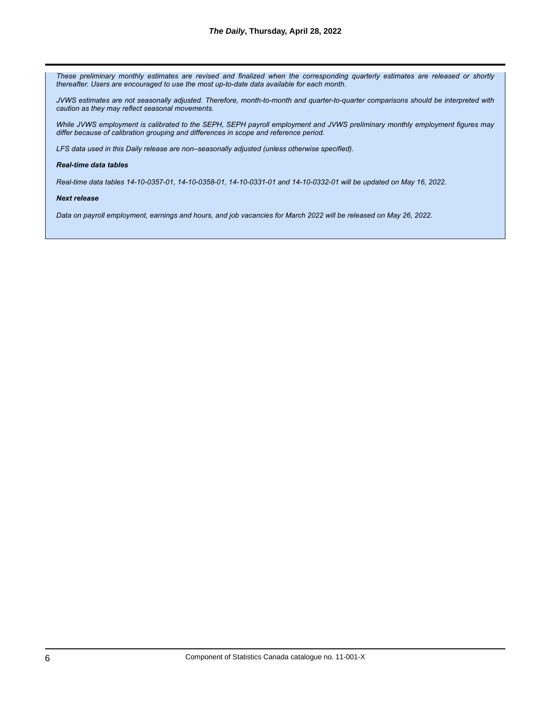*These preliminary monthly estimates are revised and finalized when the corresponding quarterly estimates are released or shortly thereafter. Users are encouraged to use the most up-to-date data available for each month.*

*JVWS estimates are not seasonally adjusted. Therefore, month-to-month and quarter-to-quarter comparisons should be interpreted with caution as they may reflect seasonal movements.*

*While JVWS employment is calibrated to the SEPH, SEPH payroll employment and JVWS preliminary monthly employment figures may differ because of calibration grouping and differences in scope and reference period.*

*LFS data used in this Daily release are non–seasonally adjusted (unless otherwise specified).*

#### *Real-time data tables*

*Real-time data tables 14-10-0357-01, 14-10-0358-01, 14-10-0331-01 and 14-10-0332-01 will be updated on May 16, 2022.*

#### *Next release*

*Data on payroll employment, earnings and hours, and job vacancies for March 2022 will be released on May 26, 2022.*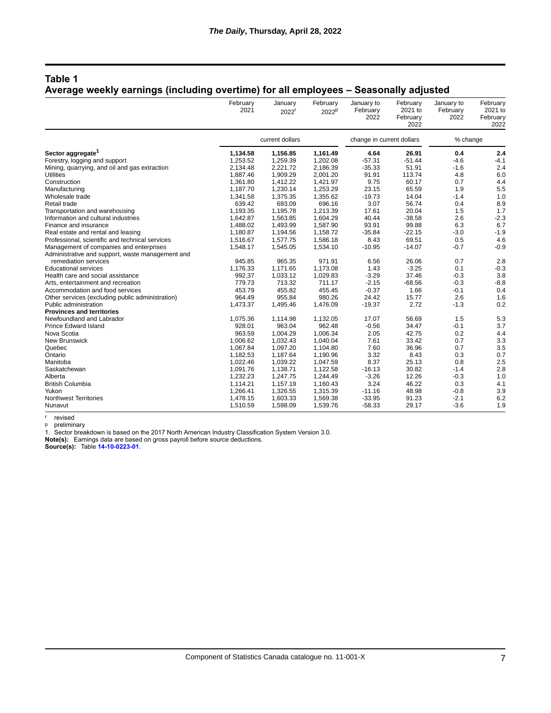### **Table 1**

# **Average weekly earnings (including overtime) for all employees – Seasonally adjusted**

|                                                                                             | February<br>2021 | January<br>2022 <sup>r</sup> | February<br>2022 <sup>p</sup> | January to<br>February<br>2022 | February<br>2021 to<br>February | January to<br>February<br>2022 | February<br>2021 to<br>February |
|---------------------------------------------------------------------------------------------|------------------|------------------------------|-------------------------------|--------------------------------|---------------------------------|--------------------------------|---------------------------------|
|                                                                                             |                  |                              |                               |                                | 2022                            |                                | 2022                            |
|                                                                                             |                  | current dollars              |                               | change in current dollars      |                                 | % change                       |                                 |
| Sector aggregate <sup>1</sup>                                                               | 1,134.58         | 1,156.85                     | 1,161.49                      | 4.64                           | 26.91                           | 0.4                            | 2.4                             |
| Forestry, logging and support                                                               | 1,253.52         | 1,259.39                     | 1,202.08                      | $-57.31$                       | $-51.44$                        | $-4.6$                         | $-4.1$                          |
| Mining, quarrying, and oil and gas extraction                                               | 2,134.48         | 2,221.72                     | 2,186.39                      | $-35.33$                       | 51.91                           | $-1.6$                         | 2.4                             |
| Utilities                                                                                   | 1,887.46         | 1,909.29                     | 2,001.20                      | 91.91                          | 113.74                          | 4.8                            | 6.0                             |
| Construction                                                                                | 1,361.80         | 1,412.22                     | 1,421.97                      | 9.75                           | 60.17                           | 0.7                            | 4.4                             |
| Manufacturing                                                                               | 1,187.70         | 1,230.14                     | 1,253.29                      | 23.15                          | 65.59                           | 1.9                            | 5.5                             |
| Wholesale trade                                                                             | 1,341.58         | 1,375.35                     | 1,355.62                      | $-19.73$                       | 14.04                           | $-1.4$                         | 1.0                             |
| Retail trade                                                                                | 639.42           | 693.09                       | 696.16                        | 3.07                           | 56.74                           | 0.4                            | 8.9                             |
| Transportation and warehousing                                                              | 1,193.35         | 1,195.78                     | 1,213.39                      | 17.61                          | 20.04                           | 1.5                            | 1.7                             |
| Information and cultural industries                                                         | 1,642.87         | 1,563.85                     | 1,604.29                      | 40.44                          | $-38.58$                        | 2.6                            | $-2.3$                          |
| Finance and insurance                                                                       | 1,488.02         | 1,493.99                     | 1,587.90                      | 93.91                          | 99.88                           | 6.3                            | 6.7                             |
| Real estate and rental and leasing                                                          | 1,180.87         | 1,194.56                     | 1,158.72                      | $-35.84$                       | $-22.15$                        | $-3.0$                         | $-1.9$                          |
| Professional, scientific and technical services                                             | 1,516.67         | 1,577.75                     | 1,586.18                      | 8.43                           | 69.51                           | 0.5                            | 4.6                             |
| Management of companies and enterprises<br>Administrative and support, waste management and | 1,548.17         | 1,545.05                     | 1,534.10                      | $-10.95$                       | $-14.07$                        | $-0.7$                         | $-0.9$                          |
| remediation services                                                                        | 945.85           | 965.35                       | 971.91                        | 6.56                           | 26.06                           | 0.7                            | 2.8                             |
| <b>Educational services</b>                                                                 | 1,176.33         | 1,171.65                     | 1,173.08                      | 1.43                           | $-3.25$                         | 0.1                            | $-0.3$                          |
| Health care and social assistance                                                           | 992.37           | 1,033.12                     | 1,029.83                      | $-3.29$                        | 37.46                           | $-0.3$                         | 3.8                             |
| Arts, entertainment and recreation                                                          | 779.73           | 713.32                       | 711.17                        | $-2.15$                        | $-68.56$                        | $-0.3$                         | $-8.8$                          |
| Accommodation and food services                                                             | 453.79           | 455.82                       | 455.45                        | $-0.37$                        | 1.66                            | $-0.1$                         | 0.4                             |
| Other services (excluding public administration)                                            | 964.49           | 955.84                       | 980.26                        | 24.42                          | 15.77                           | 2.6                            | 1.6                             |
| Public administration                                                                       | 1,473.37         | 1,495.46                     | 1,476.09                      | $-19.37$                       | 2.72                            | $-1.3$                         | 0.2                             |
| <b>Provinces and territories</b>                                                            |                  |                              |                               |                                |                                 |                                |                                 |
| Newfoundland and Labrador                                                                   | 1,075.36         | 1,114.98                     | 1,132.05                      | 17.07                          | 56.69                           | 1.5                            | 5.3                             |
| <b>Prince Edward Island</b>                                                                 | 928.01           | 963.04                       | 962.48                        | $-0.56$                        | 34.47                           | $-0.1$                         | 3.7                             |
| Nova Scotia                                                                                 | 963.59           | 1,004.29                     | 1,006.34                      | 2.05                           | 42.75                           | 0.2                            | 4.4                             |
| New Brunswick                                                                               | 1.006.62         | 1,032.43                     | 1,040.04                      | 7.61                           | 33.42                           | 0.7                            | 3.3                             |
| Quebec                                                                                      | 1,067.84         | 1,097.20                     | 1,104.80                      | 7.60                           | 36.96                           | 0.7                            | 3.5                             |
| Ontario                                                                                     | 1,182.53         | 1,187.64                     | 1,190.96                      | 3.32                           | 8.43                            | 0.3                            | 0.7                             |
| Manitoba                                                                                    | 1,022.46         | 1,039.22                     | 1,047.59                      | 8.37                           | 25.13                           | 0.8                            | 2.5                             |
| Saskatchewan                                                                                | 1,091.76         | 1,138.71                     | 1,122.58                      | $-16.13$                       | 30.82                           | $-1.4$                         | 2.8                             |
| Alberta                                                                                     | 1,232.23         | 1,247.75                     | 1,244.49                      | $-3.26$                        | 12.26                           | $-0.3$                         | 1.0                             |
| <b>British Columbia</b>                                                                     | 1,114.21         | 1,157.19                     | 1,160.43                      | 3.24                           | 46.22                           | 0.3                            | 4.1                             |
| Yukon                                                                                       | 1.266.41         | 1,326.55                     | 1,315.39                      | $-11.16$                       | 48.98                           | $-0.8$                         | 3.9                             |
| <b>Northwest Territories</b>                                                                | 1,478.15         | 1,603.33                     | 1,569.38                      | $-33.95$                       | 91.23                           | $-2.1$                         | 6.2                             |
| Nunavut                                                                                     | 1,510.59         | 1,598.09                     | 1,539.76                      | $-58.33$                       | 29.17                           | $-3.6$                         | 1.9                             |

r revised

p preliminary

1. Sector breakdown is based on the 2017 North American Industry Classification System Version 3.0.

**Note(s):** Earnings data are based on gross payroll before source deductions.

**Source(s):** Table **[14-10-0223-01](https://www150.statcan.gc.ca/t1/tbl1/en/tv.action?pid=1410022301)**.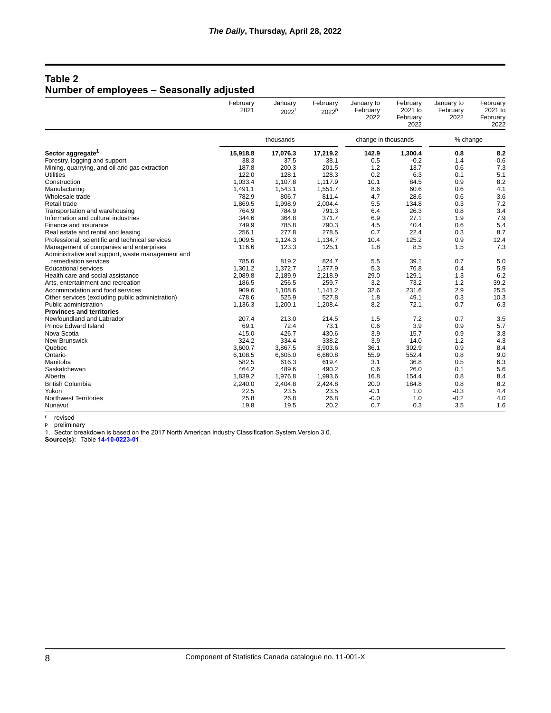# **Table 2 Number of employees – Seasonally adjusted**

|                                                                                             | February<br>2021 | January<br>2022 <sup>r</sup> | February<br>2022 <sup>p</sup> | January to<br>February<br>2022 | February<br>2021 to<br>February<br>2022 | January to<br>February<br>2022 | February<br>2021 to<br>February<br>2022 |
|---------------------------------------------------------------------------------------------|------------------|------------------------------|-------------------------------|--------------------------------|-----------------------------------------|--------------------------------|-----------------------------------------|
|                                                                                             | thousands        |                              | change in thousands           |                                | % change                                |                                |                                         |
| Sector aggregate <sup>1</sup>                                                               | 15,918.8         | 17,076.3                     | 17,219.2                      | 142.9                          | 1,300.4                                 | 0.8                            | 8.2                                     |
| Forestry, logging and support                                                               | 38.3             | 37.5                         | 38.1                          | 0.5                            | $-0.2$                                  | 1.4                            | $-0.6$                                  |
| Mining, quarrying, and oil and gas extraction                                               | 187.8            | 200.3                        | 201.5                         | 1.2                            | 13.7                                    | 0.6                            | 7.3                                     |
| Utilities                                                                                   | 122.0            | 128.1                        | 128.3                         | 0.2                            | 6.3                                     | 0.1                            | 5.1                                     |
| Construction                                                                                | 1,033.4          | 1,107.8                      | 1,117.9                       | 10.1                           | 84.5                                    | 0.9                            | 8.2                                     |
| Manufacturing                                                                               | 1,491.1          | 1,543.1                      | 1,551.7                       | 8.6                            | 60.6                                    | 0.6                            | 4.1                                     |
| Wholesale trade                                                                             | 782.9            | 806.7                        | 811.4                         | 4.7                            | 28.6                                    | 0.6                            | 3.6                                     |
| Retail trade                                                                                | 1,869.5          | 1,998.9                      | 2,004.4                       | 5.5                            | 134.8                                   | 0.3                            | 7.2                                     |
| Transportation and warehousing                                                              | 764.9            | 784.9                        | 791.3                         | 6.4                            | 26.3                                    | 0.8                            | 3.4                                     |
| Information and cultural industries                                                         | 344.6            | 364.8                        | 371.7                         | 6.9                            | 27.1                                    | 1.9                            | 7.9                                     |
| Finance and insurance                                                                       | 749.9            | 785.8                        | 790.3                         | 4.5                            | 40.4                                    | 0.6                            | 5.4                                     |
| Real estate and rental and leasing                                                          | 256.1            | 277.8                        | 278.5                         | 0.7                            | 22.4                                    | 0.3                            | 8.7                                     |
| Professional, scientific and technical services                                             | 1,009.5          | 1,124.3                      | 1,134.7                       | 10.4                           | 125.2                                   | 0.9                            | 12.4                                    |
| Management of companies and enterprises<br>Administrative and support, waste management and | 116.6            | 123.3                        | 125.1                         | 1.8                            | 8.5                                     | 1.5                            | 7.3                                     |
| remediation services                                                                        | 785.6            | 819.2                        | 824.7                         | 5.5                            | 39.1                                    | 0.7                            | 5.0                                     |
| <b>Educational services</b>                                                                 | 1,301.2          | 1,372.7                      | 1,377.9                       | 5.3                            | 76.8                                    | 0.4                            | 5.9                                     |
| Health care and social assistance                                                           | 2,089.8          | 2,189.9                      | 2,218.9                       | 29.0                           | 129.1                                   | 1.3                            | 6.2                                     |
| Arts, entertainment and recreation                                                          | 186.5            | 256.5                        | 259.7                         | 3.2                            | 73.2                                    | 1.2                            | 39.2                                    |
| Accommodation and food services                                                             | 909.6            | 1,108.6                      | 1,141.2                       | 32.6                           | 231.6                                   | 2.9                            | 25.5                                    |
| Other services (excluding public administration)                                            | 478.6            | 525.9                        | 527.8                         | 1.8                            | 49.1                                    | 0.3                            | 10.3                                    |
| Public administration                                                                       | 1,136.3          | 1,200.1                      | 1,208.4                       | 8.2                            | 72.1                                    | 0.7                            | 6.3                                     |
| <b>Provinces and territories</b>                                                            |                  |                              |                               |                                |                                         |                                |                                         |
| Newfoundland and Labrador                                                                   | 207.4            | 213.0                        | 214.5                         | 1.5                            | 7.2                                     | 0.7                            | 3.5                                     |
| <b>Prince Edward Island</b>                                                                 | 69.1             | 72.4                         | 73.1                          | 0.6                            | 3.9                                     | 0.9                            | 5.7                                     |
| Nova Scotia                                                                                 | 415.0            | 426.7                        | 430.6                         | 3.9                            | 15.7                                    | 0.9                            | 3.8                                     |
| New Brunswick                                                                               | 324.2            | 334.4                        | 338.2                         | 3.9                            | 14.0                                    | 1.2                            | 4.3                                     |
| Quebec                                                                                      | 3,600.7          | 3,867.5                      | 3,903.6                       | 36.1                           | 302.9                                   | 0.9                            | 8.4                                     |
| Ontario                                                                                     | 6,108.5          | 6,605.0                      | 6,660.8                       | 55.9                           | 552.4                                   | 0.8                            | 9.0                                     |
| Manitoba                                                                                    | 582.5            | 616.3                        | 619.4                         | 3.1                            | 36.8                                    | 0.5                            | 6.3                                     |
| Saskatchewan                                                                                | 464.2            | 489.6                        | 490.2                         | 0.6                            | 26.0                                    | 0.1                            | 5.6                                     |
| Alberta                                                                                     | 1,839.2          | 1,976.8                      | 1,993.6                       | 16.8                           | 154.4                                   | 0.8                            | 8.4                                     |
| <b>British Columbia</b>                                                                     | 2,240.0          | 2,404.8                      | 2,424.8                       | 20.0                           | 184.8                                   | 0.8                            | 8.2                                     |
| Yukon                                                                                       | 22.5             | 23.5                         | 23.5                          | $-0.1$                         | 1.0                                     | $-0.3$                         | 4.4                                     |
| <b>Northwest Territories</b>                                                                | 25.8             | 26.8                         | 26.8                          | $-0.0$                         | 1.0                                     | $-0.2$                         | 4.0                                     |
| Nunavut                                                                                     | 19.8             | 19.5                         | 20.2                          | 0.7                            | 0.3                                     | 3.5                            | 1.6                                     |

r revised

p preliminary

1. Sector breakdown is based on the 2017 North American Industry Classification System Version 3.0.

**Source(s):** Table **[14-10-0223-01](https://www150.statcan.gc.ca/t1/tbl1/en/tv.action?pid=1410022301)**.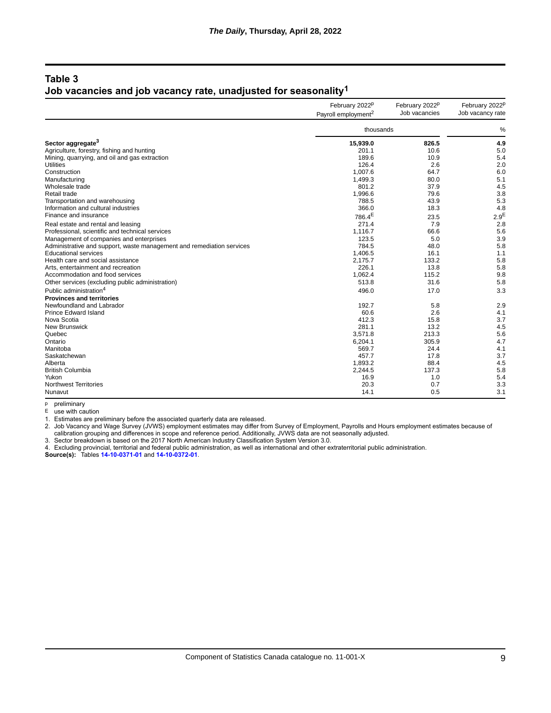## **Table 3 Job vacancies and job vacancy rate, unadjusted for seasonality1**

|                                                                       | February 2022 <sup>p</sup><br>Payroll employment <sup>2</sup> | February 2022 <sup>p</sup><br>Job vacancies | February 2022 <sup>p</sup><br>Job vacancy rate |
|-----------------------------------------------------------------------|---------------------------------------------------------------|---------------------------------------------|------------------------------------------------|
|                                                                       | thousands                                                     |                                             | %                                              |
| Sector aggregate <sup>3</sup>                                         | 15,939.0                                                      | 826.5                                       | 4.9                                            |
| Agriculture, forestry, fishing and hunting                            | 201.1                                                         | 10.6                                        | 5.0                                            |
| Mining, quarrying, and oil and gas extraction                         | 189.6                                                         | 10.9                                        | 5.4                                            |
| Utilities                                                             | 126.4                                                         | 2.6                                         | 2.0                                            |
| Construction                                                          | 1,007.6                                                       | 64.7                                        | 6.0                                            |
| Manufacturing                                                         | 1,499.3                                                       | 80.0                                        | 5.1                                            |
| Wholesale trade                                                       | 801.2                                                         | 37.9                                        | 4.5                                            |
| Retail trade                                                          | 1,996.6                                                       | 79.6                                        | 3.8                                            |
| Transportation and warehousing                                        | 788.5                                                         | 43.9                                        | 5.3                                            |
| Information and cultural industries                                   | 366.0                                                         | 18.3                                        | 4.8                                            |
| Finance and insurance                                                 | 786.4 <sup>E</sup>                                            | 23.5                                        | 2.9 <sup>E</sup>                               |
| Real estate and rental and leasing                                    | 271.4                                                         | 7.9                                         | 2.8                                            |
| Professional, scientific and technical services                       | 1,116.7                                                       | 66.6                                        | 5.6                                            |
| Management of companies and enterprises                               | 123.5                                                         | 5.0                                         | 3.9                                            |
| Administrative and support, waste management and remediation services | 784.5                                                         | 48.0                                        | 5.8                                            |
| <b>Educational services</b>                                           | 1,406.5                                                       | 16.1                                        | 1.1                                            |
| Health care and social assistance                                     | 2,175.7                                                       | 133.2                                       | 5.8                                            |
| Arts, entertainment and recreation                                    | 226.1                                                         | 13.8                                        | 5.8                                            |
| Accommodation and food services                                       | 1,062.4                                                       | 115.2                                       | 9.8                                            |
| Other services (excluding public administration)                      | 513.8                                                         | 31.6                                        | 5.8                                            |
| Public administration <sup>4</sup>                                    | 496.0                                                         | 17.0                                        | 3.3                                            |
| <b>Provinces and territories</b>                                      |                                                               |                                             |                                                |
| Newfoundland and Labrador                                             | 192.7                                                         | 5.8                                         | 2.9                                            |
| <b>Prince Edward Island</b>                                           | 60.6                                                          | 2.6                                         | 4.1                                            |
| Nova Scotia                                                           | 412.3                                                         | 15.8                                        | 3.7                                            |
| New Brunswick                                                         | 281.1                                                         | 13.2                                        | 4.5                                            |
| Quebec                                                                | 3,571.8                                                       | 213.3                                       | 5.6                                            |
| Ontario                                                               | 6,204.1                                                       | 305.9                                       | 4.7                                            |
| Manitoba                                                              | 569.7                                                         | 24.4                                        | 4.1                                            |
| Saskatchewan                                                          | 457.7                                                         | 17.8                                        | 3.7                                            |
| Alberta                                                               | 1,893.2                                                       | 88.4                                        | 4.5                                            |
| <b>British Columbia</b>                                               | 2,244.5                                                       | 137.3                                       | 5.8                                            |
| Yukon                                                                 | 16.9                                                          | 1.0                                         | 5.4                                            |
| <b>Northwest Territories</b>                                          | 20.3                                                          | 0.7                                         | 3.3                                            |
| Nunavut                                                               | 14.1                                                          | 0.5                                         | 3.1                                            |

p preliminary

E use with caution

1. Estimates are preliminary before the associated quarterly data are released.

2. Job Vacancy and Wage Survey (JVWS) employment estimates may differ from Survey of Employment, Payrolls and Hours employment estimates because of calibration grouping and differences in scope and reference period. Additionally, JVWS data are not seasonally adjusted.

3. Sector breakdown is based on the 2017 North American Industry Classification System Version 3.0.

4. Excluding provincial, territorial and federal public administration, as well as international and other extraterritorial public administration.

**Source(s):** Tables **[14-10-0371-01](https://www150.statcan.gc.ca/t1/tbl1/en/tv.action?pid=1410037101)** and **[14-10-0372-01](https://www150.statcan.gc.ca/t1/tbl1/en/tv.action?pid=1410037201)**.